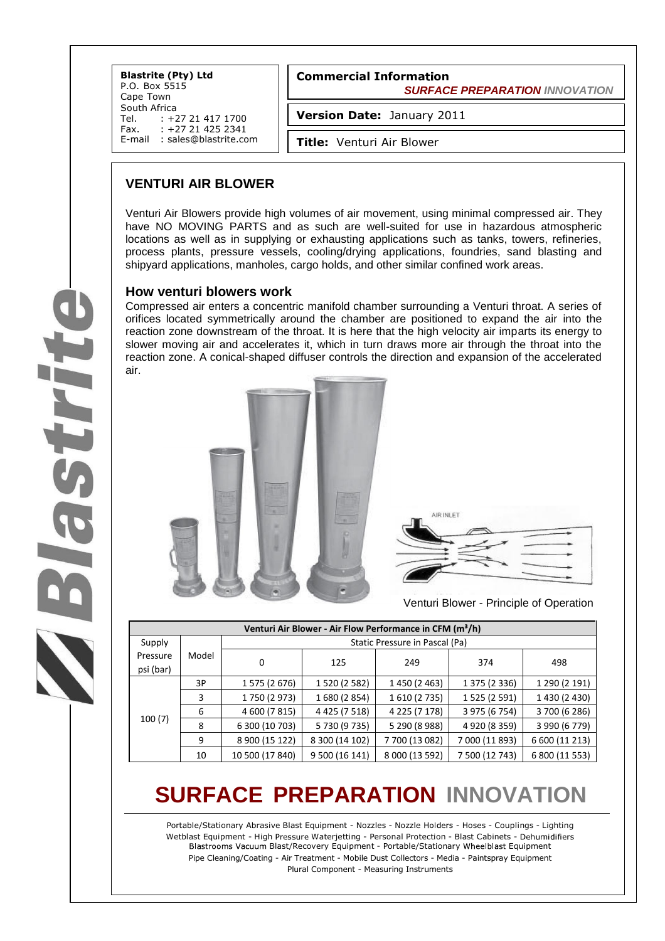**Blastrite (Pty) Ltd** P.O. Box 5515 Cape Town South Africa<br>Tel. : +2 Tel. : +27 21 417 1700<br>Fax. : +27 21 425 2341 +27 21 425 2341 E-mail : [sales@blastrite.com](mailto:sales@blastrite.com) **Commercial Information**  *SURFACE PREPARATION INNOVATION*

**Version Date:** January 2011

**Title:** Venturi Air Blower

## **VENTURI AIR BLOWER**

Venturi Air Blowers provide high volumes of air movement, using minimal compressed air. They have NO MOVING PARTS and as such are well-suited for use in hazardous atmospheric locations as well as in supplying or exhausting applications such as tanks, towers, refineries, process plants, pressure vessels, cooling/drying applications, foundries, sand blasting and shipyard applications, manholes, cargo holds, and other similar confined work areas.

### **How venturi blowers work**

Compressed air enters a concentric manifold chamber surrounding a Venturi throat. A series of orifices located symmetrically around the chamber are positioned to expand the air into the reaction zone downstream of the throat. It is here that the high velocity air imparts its energy to slower moving air and accelerates it, which in turn draws more air through the throat into the reaction zone. A conical-shaped diffuser controls the direction and expansion of the accelerated air.





Venturi Blower - Principle of Operation

| Venturi Air Blower - Air Flow Performance in CFM (m <sup>3</sup> /h) |       |                                |                   |                |                |                |  |  |  |  |  |  |
|----------------------------------------------------------------------|-------|--------------------------------|-------------------|----------------|----------------|----------------|--|--|--|--|--|--|
| Supply                                                               | Model | Static Pressure in Pascal (Pa) |                   |                |                |                |  |  |  |  |  |  |
| Pressure<br>psi (bar)                                                |       | 0                              | 125               | 249            | 374            | 498            |  |  |  |  |  |  |
| 100(7)                                                               | 3P    | 1 575 (2 676)                  | 1 520 (2 582)     | 1 450 (2 463)  | 1 375 (2 336)  | 1 290 (2 191)  |  |  |  |  |  |  |
|                                                                      | 3     | 1750 (2973)                    | 1 680 (2 854)     | 1 610 (2 735)  | 1 525 (2 591)  | 1 430 (2 430)  |  |  |  |  |  |  |
|                                                                      | 6     | 4 600 (7 815)                  | 4 4 2 5 (7 5 1 8) | 4 225 (7 178)  | 3 975 (6 754)  | 3 700 (6 286)  |  |  |  |  |  |  |
|                                                                      | 8     | 6 300 (10 703)                 | 5 730 (9 735)     | 5 290 (8 988)  | 4 920 (8 359)  | 3 990 (6 779)  |  |  |  |  |  |  |
|                                                                      | 9     | 8 900 (15 122)                 | 8 300 (14 102)    | 7700 (13 082)  | 7 000 (11 893) | 6 600 (11 213) |  |  |  |  |  |  |
|                                                                      | 10    | 10 500 (17 840)                | 9 500 (16 141)    | 8 000 (13 592) | 7 500 (12 743) | 6 800 (11 553) |  |  |  |  |  |  |

# **SURFACE PREPARATION INNOVATION**

Portable/Stationary Abrasive Blast Equipment - Nozzles - Nozzle Holders - Hoses - Couplings - Lighting Wetblast Equipment - High Pressure Waterjetting - Personal Protection - Blast Cabinets - Dehumidifiers Blastrooms Vacuum Blast/Recovery Equipment - Portable/Stationary Wheelblast Equipment Pipe Cleaning/Coating - Air Treatment - Mobile Dust Collectors - Media - Paintspray Equipment Plural Component - Measuring Instruments